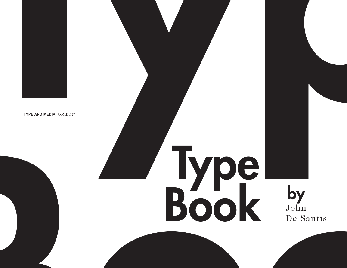

# Type Book by<br>Book by<br>De Santis by<br>John De Santis **Typel** Book John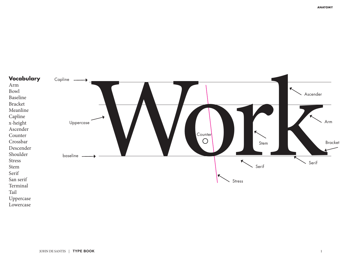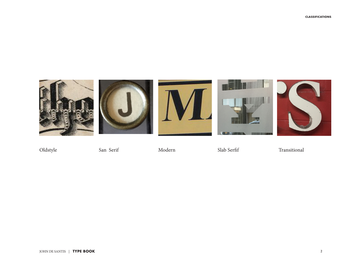









Oldstyle San Serif Modern Slab Serfif Transitional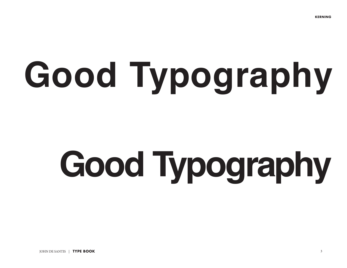# **Good Typography**

# **Good Typography**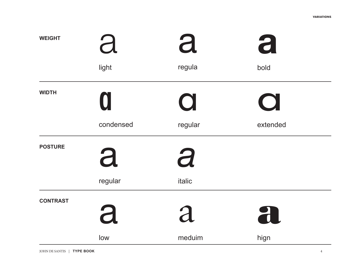| <b>WEIGHT</b>   | d<br>light | a<br>regula | a<br>bold    |  |
|-----------------|------------|-------------|--------------|--|
| <b>WIDTH</b>    | U          | $\bigcup$   | $\mathbf{L}$ |  |
|                 | condensed  | regular     | extended     |  |
| <b>POSTURE</b>  | a          | a           |              |  |
|                 | regular    | italic      |              |  |
| <b>CONTRAST</b> | a          | a           | 21           |  |
|                 | low        | meduim      | hign         |  |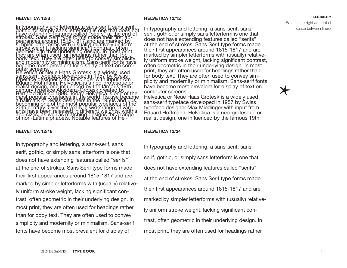#### **HELVETICA 12/8**

In typography and lettering, a sans-serif, sans serif<br>playe extending and lettering, a sans-serif, sans serif<br>playe extending features called serifs hat does not<br>strokes. Sans serif type forms made their tirst ap-<br>strokes.

#### **HELVETICA 12/18**

In typography and lettering, a sans-serif, sans serif, gothic, or simply sans letterform is one that does not have extending features called "serifs" at the end of strokes. Sans Serif type forms made their first appearances around 1815-1817 and are marked by simpler letterforms with (usually) relatively uniform stroke weight, lacking significant contrast, often geometric in their underlying design. In most print, they are often used for headings rather than for body text. They are often used to convey simplicity and modernity or minimalism. Sans-serif fonts have become most prevalent for display of

#### **HELVETICA 12/12**

In typography and lettering, a sans-serif, sans serif, gothic, or simply sans letterform is one that does not have extending features called "serifs" at the end of strokes. Sans Serif type forms made their first appearances around 1815-1817 and are marked by simpler letterforms with (usually) relatively uniform stroke weight, lacking significant contrast, often geometric in their underlying design. In most print, they are often used for headings rather than for body text. They are often used to convey simplicity and modernity or minimalism. Sans-serif fonts have become most prevalent for display of text on computer screens.

Helvetica or Neue Haas Grotesk is a widely used sans-serif typeface developed in 1957 by Swiss typeface designer Max Miedinger with input from Eduard Hoffmann. Helvetica is a neo-grotesque or realist design, one influenced by the famous 19th

#### **HELVETICA 12/24**

In typography and lettering, a sans-serif, sans serif, gothic, or simply sans letterform is one that does not have extending features called "serifs" at the end of strokes. Sans Serif type forms made their first appearances around 1815-1817 and are marked by simpler letterforms with (usually) relatively uniform stroke weight, lacking significant contrast, often geometric in their underlying design. In most print, they are often used for headings rather

What is the right amount of space between lines?

**LEGIBILITY**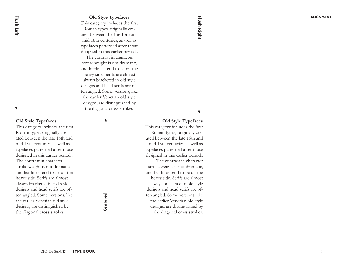#### **Old Style Typefaces**

This category includes the first Roman types, originally created between the late 15th and mid 18th centuries, as well as typefaces patterned after those designed in this earlier period..

The contrast in character stroke weight is not dramatic, and hairlines tend to be on the heavy side. Serifs are almost always bracketed in old style designs and head serifs are often angled. Some versions, like the earlier Venetian old style designs, are distinguished by the diagonal cross strokes.

#### **Old Style Typefaces**

**Flush Left**

Flush Left

This category includes the first Roman types, originally created between the late 15th and mid 18th centuries, as well as typefaces patterned after those designed in this earlier period.. The contrast in character stroke weight is not dramatic, and hairlines tend to be on the heavy side. Serifs are almost always bracketed in old style designs and head serifs are often angled. Some versions, like the earlier Venetian old style designs, are distinguished by the diagonal cross strokes.

Centered **Centered**

#### **Old Style Typefaces**

**Flush Right**

Flush Right

This category includes the first Roman types, originally created between the late 15th and mid 18th centuries, as well as typefaces patterned after those designed in this earlier period.. The contrast in character stroke weight is not dramatic, and hairlines tend to be on the heavy side. Serifs are almost always bracketed in old style designs and head serifs are often angled. Some versions, like the earlier Venetian old style designs, are distinguished by the diagonal cross strokes.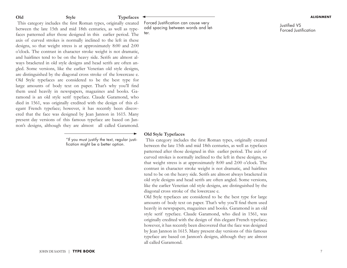#### **Old Style Typefaces**

This category includes the first Roman types, originally created between the late 15th and mid 18th centuries, as well as typefaces patterned after those designed in this earlier period. The axis of curved strokes is normally inclined to the left in these designs, so that weight stress is at approximately 8:00 and 2:00 o'clock. The contrast in character stroke weight is not dramatic, and hairlines tend to be on the heavy side. Serifs are almost always bracketed in old style designs and head serifs are often angled. Some versions, like the earlier Venetian old style designs, are distinguished by the diagonal cross stroke of the lowercase e. Old Style typefaces are considered to be the best type for large amounts of body text on paper. That's why you'll find them used heavily in newspapers, magazines and books. Garamond is an old style serif typeface. Claude Garamond, who died in 1561, was originally credited with the design of this elegant French typeface; however, it has recently been discovered that the face was designed by Jean Jannon in 1615. Many present day versions of this famous typeface are based on Jannon's designs, although they are almost all called Garamond.

> "If you must justify the text, regular justification might be a better option.

Forced Justification can cause very odd spacing between words and letter.

Justified VS Forced Justification

#### **Old Style Typefaces**

This category includes the first Roman types, originally created between the late 15th and mid 18th centuries, as well as typefaces patterned after those designed in this earlier period. The axis of curved strokes is normally inclined to the left in these designs, so that weight stress is at approximately 8:00 and 2:00 o'clock. The contrast in character stroke weight is not dramatic, and hairlines tend to be on the heavy side. Serifs are almost always bracketed in old style designs and head serifs are often angled. Some versions, like the earlier Venetian old style designs, are distinguished by the diagonal cross stroke of the lowercase e.

Old Style typefaces are considered to be the best type for large amounts of body text on paper. That's why you'll find them used heavily in newspapers, magazines and books. Garamond is an old style serif typeface. Claude Garamond, who died in 1561, was originally credited with the design of this elegant French typeface; however, it has recently been discovered that the face was designed by Jean Jannon in 1615. Many present day versions of this famous typeface are based on Jannon's designs, although they are almost all called Garamond.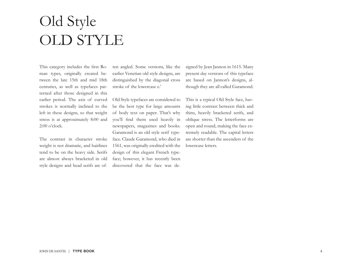# Old Style OLD STYLE

This category includes the first Roman types, originally created between the late 15th and mid 18th centuries, as well as typefaces patterned after those designed in this earlier period. The axis of curved strokes is normally inclined to the left in these designs, so that weight stress is at approximately 8:00 and 2:00 o'clock.

The contrast in character stroke weight is not dramatic, and hairlines tend to be on the heavy side. Serifs are almost always bracketed in old style designs and head serifs are often angled. Some versions, like the earlier Venetian old style designs, are distinguished by the diagonal cross stroke of the lowercase e.'

Old Style typefaces are considered to be the best type for large amounts of body text on paper. That's why you'll find them used heavily in newspapers, magazines and books. Garamond is an old style serif typeface. Claude Garamond, who died in 1561, was originally credited with the design of this elegant French typeface; however, it has recently been discovered that the face was designed by Jean Jannon in 1615. Many present day versions of this typeface are based on Jannon's designs, although they are all called Garamond.

This is a typical Old Style face, having little contrast between thick and thins, heavily bracketed serifs, and oblique stress. The letterforms are open and round, making the face extremely readable. The capital letters are shorter than the ascenders of the lowercase letters.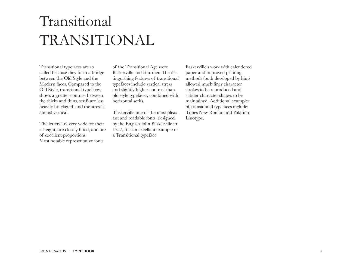# Transitional TRANSITIONAL

Transitional typefaces are so called because they form a bridge between the Old Style and the Modern faces. Compared to the Old Style, transitional typefaces shows a greater contrast between the thicks and thins, serifs are less heavily bracketed, and the stress is almost vertical.

The letters are very wide for their x-height, are closely fitted, and are of excellent proportions. Most notable representative fonts

of the Transitional Age were Baskerville and Fournier. The distinguishing features of transitional typefaces include vertical stress and slightly higher contrast than old style typefaces, combined with horizontal serifs.

 Baskerville one of the most pleasant and readable fonts, designed by the English John Baskerville in 1757, it is an excellent example of a Transitional typeface.

Baskerville's work with calendered paper and improved printing methods (both developed by him) allowed much finer character strokes to be reproduced and subtler character shapes to be maintained. Additional examples of transitional typefaces include: Times New Roman and Palatino Linotype.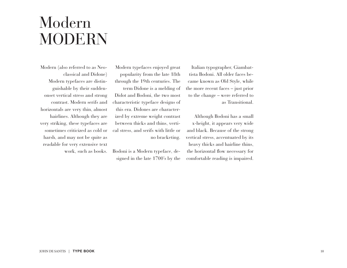### Modern MODERN

Modern (also referred to as Neoclassical and Didone) Modern typefaces are distinguishable by their suddenonset vertical stress and strong contrast. Modern serifs and horizontals are very thin, almost hairlines. Although they are very striking, these typefaces are sometimes criticized as cold or harsh, and may not be quite as readable for very extensive text work, such as books.

Modern typefaces enjoyed great popularity from the late 18th through the 19th centuries. The term Didone is a melding of Didot and Bodoni, the two most characteristic typeface designs of this era. Didones are characterized by extreme weight contrast between thicks and thins, vertical stress, and serifs with little or no bracketing.

Bodoni is a Modern typeface, designed in the late 1700's by the

Italian typographer, Giambattista Bodoni. All older faces became known as Old Style, while the more recent faces – just prior to the change – were referred to as Transitional.

Although Bodoni has a small x-height, it appears very wide and black. Because of the strong vertical stress, accentuated by its heavy thicks and hairline thins, the horizontal flow necessary for comfortable reading is impaired.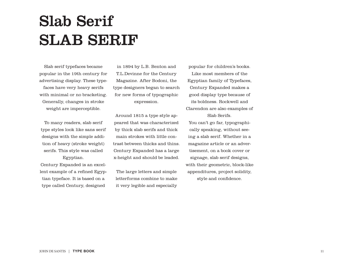# Slab Serif SLAB SERIF

Slab serif typefaces became popular in the 19th century for advertising display. These typefaces have very heavy serifs with minimal or no bracketing. Generally, changes in stroke weight are imperceptible.

To many readers, slab serif type styles look like sans serif designs with the simple addition of heavy (stroke weight) serifs. This style was called

Century Expanded is an excellent example of a refined Egyptian typeface. It is based on a type called Century, designed

Egyptian.

in 1894 by L.B. Benton and T.L.Devinne for the Century Magazine. After Bodoni, the type designers began to search for new forms of typographic expression.

Around 1815 a type style appeared that was characterized by thick slab serifs and thick main strokes with little contrast between thicks and thins. Century Expanded has a large x-height and should be leaded.

The large letters and simple letterforms combine to make it very legible and especially

popular for children's books. Like most members of the Egyptian family of Typefaces, Century Expanded makes a good display type because of its boldness. Rockwell and Clarendon are also examples of Slab Serifs. You can't go far, typographically speaking, without seeing a slab serif. Whether in a magazine article or an advertisement, on a book cover or signage, slab serif designs, with their geometric, block-like appenditures, project solidity, style and confidence.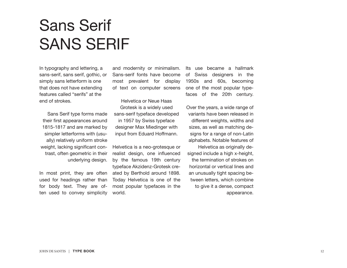# Sans Serif SANS SERIF

In typography and lettering, a sans-serif, sans serif, gothic, or simply sans letterform is one that does not have extending features called "serifs" at the end of strokes.

Sans Serif type forms made their first appearances around 1815-1817 and are marked by simpler letterforms with (usually) relatively uniform stroke weight, lacking significant contrast, often geometric in their underlying design.

In most print, they are often used for headings rather than for body text. They are often used to convey simplicity and modernity or minimalism. Sans-serif fonts have become most prevalent for display of text on computer screens

Helvetica or Neue Haas Grotesk is a widely used sans-serif typeface developed in 1957 by Swiss typeface designer Max Miedinger with input from Eduard Hoffmann.

Helvetica is a neo-grotesque or realist design, one influenced by the famous 19th century typeface Akzidenz-Grotesk created by Berthold around 1898. Today Helvetica is one of the most popular typefaces in the world.

Its use became a hallmark of Swiss designers in the 1950s and 60s, becoming one of the most popular typefaces of the 20th century.

Over the years, a wide range of variants have been released in different weights, widths and sizes, as well as matching designs for a range of non-Latin alphabets. Notable features of

Helvetica as originally designed include a high x-height, the termination of strokes on horizontal or vertical lines and an unusually tight spacing between letters, which combine to give it a dense, compact appearance.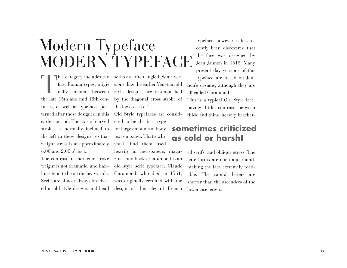MODERN TYPEFAC This category includes the<br>first Roman types, originally<br>reated between<br>the late 15th and mid 18th can first Roman types, originally created between the late 15th and mid 18th centuries, as well as typefaces patterned after those designed in this earlier period. The axis of curved strokes is normally inclined to the left in these designs, so that weight stress is at approximately 8:00 and 2:00 o'clock.

Modern Typeface

The contrast in character stroke weight is not dramatic, and hairlines tend to be on the heavy side. Serifs are almost always bracketed in old style designs and head

serifs are often angled. Some versions, like the earlier Venetian old style designs, are distinguished by the diagonal cross stroke of the lowercase e.'

Old Style typefaces are considered to be the best type for large amounts of body text on paper. That's why you'll find them used

heavily in newspapers, magazines and books. Garamond is an old style serif typeface. Claude Garamond, who died in 1561, was originally credited with the design of this elegant French

typeface; however, it has recently been discovered that the face was designed by Jean Jannon in 1615. Many present day versions of this typeface are based on Jannon's designs, although they are all called Garamond.

This is a typical Old Style face, having little contrast between thick and thins, heavily bracket-

#### **sometimes criticized as cold or harsh!**

ed serifs, and oblique stress. The letterforms are open and round, making the face extremely readable. The capital letters are shorter than the ascenders of the lowercase letters.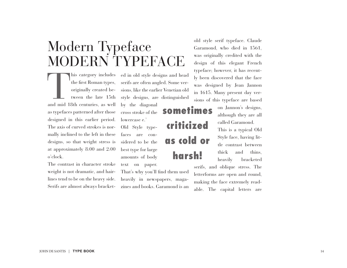### Modern Typeface MODERN TYPEFACE

This category includes<br>the first Roman types,<br>originally created be-<br>tween the late 15th<br>and mid 18th centuries, as well the first Roman types, originally created between the late 15th as typefaces patterned after those designed in this earlier period. The axis of curved strokes is normally inclined to the left in these designs, so that weight stress is at approximately 8:00 and 2:00 o'clock. his category includes ed in old style designs and head

The contrast in character stroke weight is not dramatic, and hairlines tend to be on the heavy side. Serifs are almost always bracketserifs are often angled. Some versions, like the earlier Venetian old style designs, are distinguished by the diagonal cross stroke of the lowercase e.' Old Style typefaces are considered to be the best type for large amounts of body text on paper. That's why you'll find them used some criticized

heavily in newspapers, magazines and books. Garamond is an

harsh!

old style serif typeface. Claude Garamond, who died in 1561, was originally credited with the design of this elegant French typeface; however, it has recently been discovered that the face was designed by Jean Jannon in 1615. Many present day versions of this typeface are based

> on Jannon's designs, although they are all called Garamond.

This is a typical Old Style face, having little contrast between thick and thins, heavily bracketed as cold or

serifs, and oblique stress. The letterforms are open and round, making the face extremely readable. The capital letters are